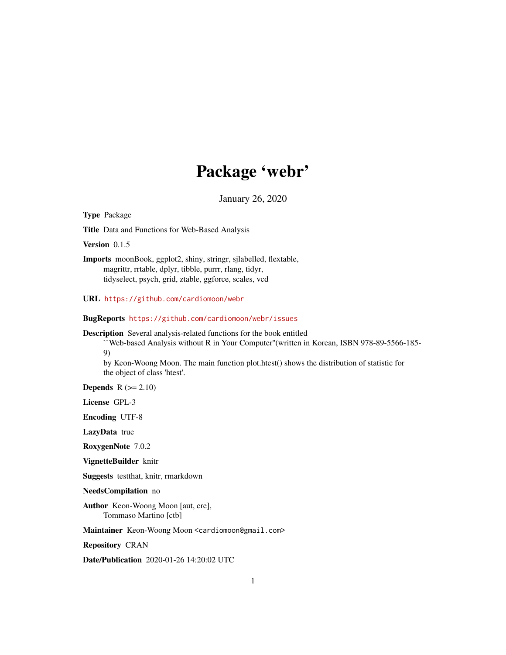# Package 'webr'

January 26, 2020

Type Package Title Data and Functions for Web-Based Analysis Version 0.1.5 Imports moonBook, ggplot2, shiny, stringr, sjlabelled, flextable, magrittr, rrtable, dplyr, tibble, purrr, rlang, tidyr, tidyselect, psych, grid, ztable, ggforce, scales, vcd URL <https://github.com/cardiomoon/webr> BugReports <https://github.com/cardiomoon/webr/issues> Description Several analysis-related functions for the book entitled ``Web-based Analysis without R in Your Computer''(written in Korean, ISBN 978-89-5566-185- 9) by Keon-Woong Moon. The main function plot.htest() shows the distribution of statistic for the object of class 'htest'. Depends  $R$  ( $>= 2.10$ ) License GPL-3 Encoding UTF-8 LazyData true RoxygenNote 7.0.2 VignetteBuilder knitr Suggests testthat, knitr, rmarkdown NeedsCompilation no Author Keon-Woong Moon [aut, cre], Tommaso Martino [ctb] Maintainer Keon-Woong Moon <cardiomoon@gmail.com>

Repository CRAN

Date/Publication 2020-01-26 14:20:02 UTC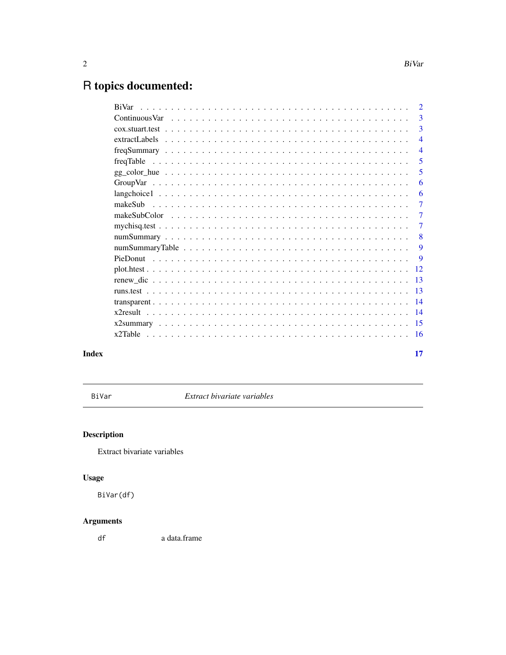# <span id="page-1-0"></span>R topics documented:

| BiVar         | $\mathcal{D}$  |
|---------------|----------------|
|               | 3              |
|               | 3              |
| extractLabels | $\overline{4}$ |
|               | $\overline{4}$ |
|               | 5              |
|               | 5              |
|               | 6              |
|               | 6              |
|               | $\overline{7}$ |
|               | $\overline{7}$ |
|               | 7              |
|               | 8              |
|               | 9              |
|               | 9              |
|               | 12             |
|               | 13             |
|               | 13             |
|               | 14             |
|               | 14             |
|               | -15            |
|               | -16            |
|               | 17             |

# **Index**

BiVar

Extract bivariate variables

# Description

Extract bivariate variables

# **Usage**

BiVar(df)

# **Arguments**

 $\mathsf{d}\mathsf{f}$ a data.frame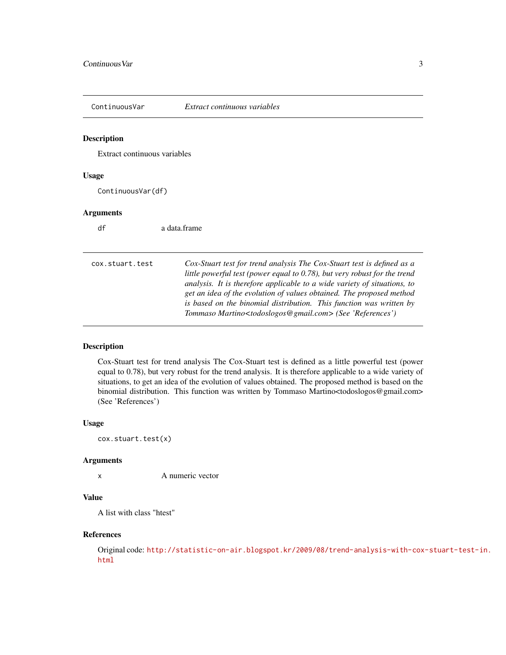<span id="page-2-0"></span>

Extract continuous variables

#### Usage

ContinuousVar(df)

#### Arguments

| df              | a data frame                                                                                                                                                                                                                                                                                                                                                                                                                                                       |
|-----------------|--------------------------------------------------------------------------------------------------------------------------------------------------------------------------------------------------------------------------------------------------------------------------------------------------------------------------------------------------------------------------------------------------------------------------------------------------------------------|
| cox.stuart.test | Cox-Stuart test for trend analysis The Cox-Stuart test is defined as a<br>little powerful test (power equal to 0.78), but very robust for the trend<br>analysis. It is therefore applicable to a wide variety of situations, to<br>get an idea of the evolution of values obtained. The proposed method<br>is based on the binomial distribution. This function was written by<br>Tommaso Martino <todoslogos@gmail.com> (See 'References')</todoslogos@gmail.com> |

## Description

Cox-Stuart test for trend analysis The Cox-Stuart test is defined as a little powerful test (power equal to 0.78), but very robust for the trend analysis. It is therefore applicable to a wide variety of situations, to get an idea of the evolution of values obtained. The proposed method is based on the binomial distribution. This function was written by Tommaso Martino<todoslogos@gmail.com> (See 'References')

#### Usage

cox.stuart.test(x)

#### Arguments

x A numeric vector

#### Value

A list with class "htest"

#### References

Original code: [http://statistic-on-air.blogspot.kr/2009/08/trend-analysis-with-cox](http://statistic-on-air.blogspot.kr/2009/08/trend-analysis-with-cox-stuart-test-in.html)-stuart-test-in. [html](http://statistic-on-air.blogspot.kr/2009/08/trend-analysis-with-cox-stuart-test-in.html)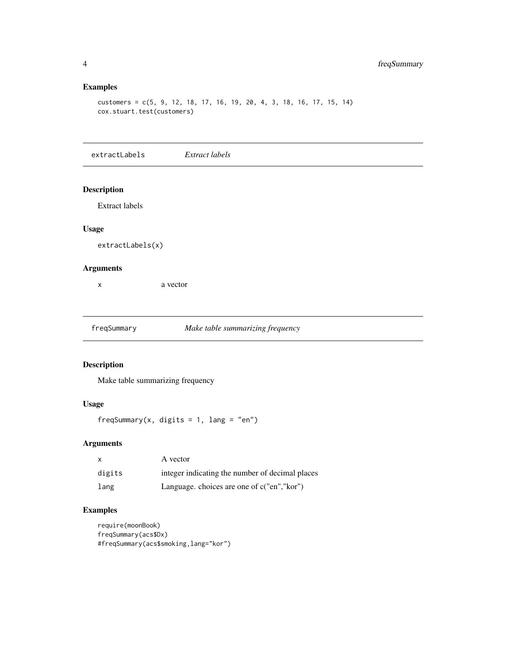#### Examples

customers = c(5, 9, 12, 18, 17, 16, 19, 20, 4, 3, 18, 16, 17, 15, 14) cox.stuart.test(customers)

extractLabels *Extract labels*

#### Description

Extract labels

#### Usage

extractLabels(x)

#### Arguments

x a vector

#### freqSummary *Make table summarizing frequency*

#### Description

Make table summarizing frequency

#### Usage

freqSummary(x, digits = 1, lang = "en")

#### Arguments

| $\mathsf{x}$ | A vector                                        |
|--------------|-------------------------------------------------|
| digits       | integer indicating the number of decimal places |
| lang         | Language, choices are one of c("en", "kor")     |

```
require(moonBook)
freqSummary(acs$Dx)
#freqSummary(acs$smoking,lang="kor")
```
<span id="page-3-0"></span>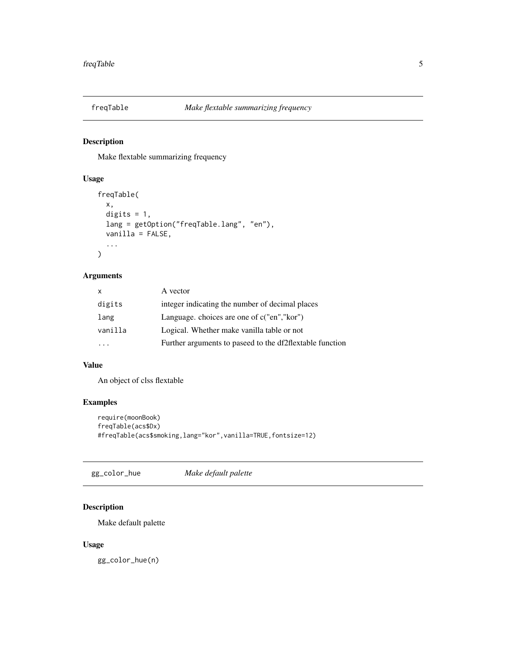<span id="page-4-0"></span>

Make flextable summarizing frequency

#### Usage

```
freqTable(
  x,
 digits = 1,
 lang = getOption("freqTable.lang", "en"),
 vanilla = FALSE,
  ...
)
```
#### Arguments

| $\mathsf{x}$ | A vector                                                 |
|--------------|----------------------------------------------------------|
| digits       | integer indicating the number of decimal places          |
| lang         | Language, choices are one of c("en", "kor")              |
| vanilla      | Logical. Whether make vanilla table or not               |
|              | Further arguments to paseed to the df2flextable function |
|              |                                                          |

#### Value

An object of clss flextable

#### Examples

```
require(moonBook)
freqTable(acs$Dx)
#freqTable(acs$smoking,lang="kor",vanilla=TRUE,fontsize=12)
```
gg\_color\_hue *Make default palette*

#### Description

Make default palette

#### Usage

gg\_color\_hue(n)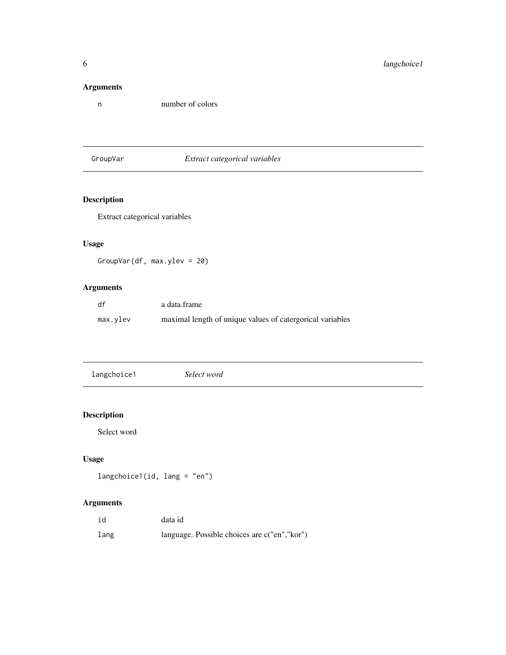### <span id="page-5-0"></span>Arguments

n number of colors

GroupVar *Extract categorical variables*

# Description

Extract categorical variables

# Usage

GroupVar(df, max.ylev = 20)

# Arguments

| df       | a data.frame                                              |
|----------|-----------------------------------------------------------|
| max.ylev | maximal length of unique values of catergorical variables |

| langchoice1 | Select word |  |
|-------------|-------------|--|
|             |             |  |

# Description

Select word

# Usage

langchoice1(id, lang = "en")

# Arguments

| id   | data id                                      |
|------|----------------------------------------------|
| lang | language. Possible choices are c("en","kor") |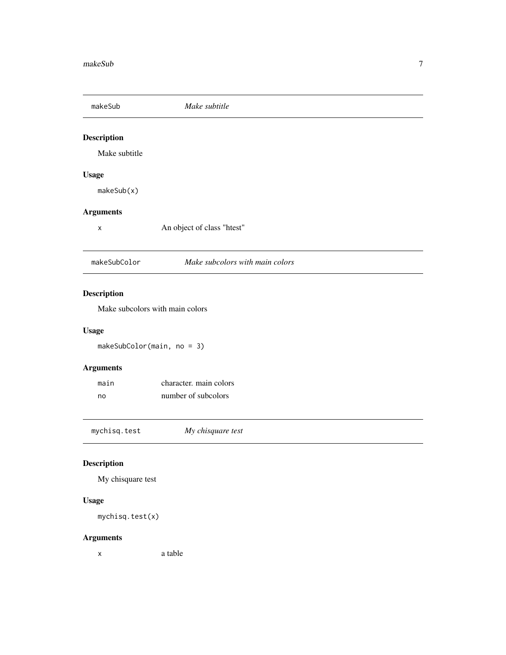<span id="page-6-0"></span>

| makeSub                       | Make subtitle                   |  |
|-------------------------------|---------------------------------|--|
| <b>Description</b>            |                                 |  |
| Make subtitle                 |                                 |  |
| <b>Usage</b>                  |                                 |  |
| makeSub(x)                    |                                 |  |
| <b>Arguments</b>              |                                 |  |
| X                             | An object of class "htest"      |  |
| makeSubColor                  | Make subcolors with main colors |  |
| <b>Description</b>            |                                 |  |
|                               | Make subcolors with main colors |  |
| <b>Usage</b>                  |                                 |  |
| makeSubColor(main, no = $3$ ) |                                 |  |

# Arguments

| main | character, main colors |
|------|------------------------|
| no   | number of subcolors    |

mychisq.test *My chisquare test*

# Description

My chisquare test

# Usage

mychisq.test(x)

# Arguments

x a table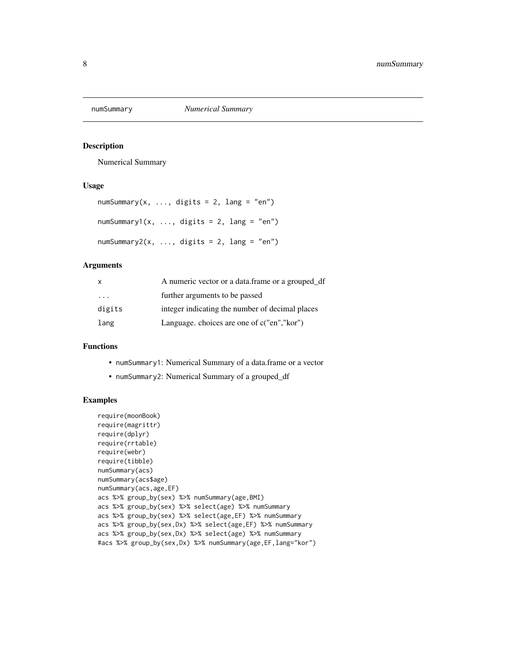<span id="page-7-0"></span>

Numerical Summary

#### Usage

```
numSummary(x, ..., digits = 2, lang = "en")numSummary1(x, ..., digits = 2, lang = "en")
numSummary2(x, ..., digits = 2, lang = "en")
```
#### Arguments

| $\mathsf{x}$ | A numeric vector or a data.frame or a grouped_df |
|--------------|--------------------------------------------------|
| .            | further arguments to be passed                   |
| digits       | integer indicating the number of decimal places  |
| lang         | Language, choices are one of c("en", "kor")      |

#### Functions

- numSummary1: Numerical Summary of a data.frame or a vector
- numSummary2: Numerical Summary of a grouped\_df

```
require(moonBook)
require(magrittr)
require(dplyr)
require(rrtable)
require(webr)
require(tibble)
numSummary(acs)
numSummary(acs$age)
numSummary(acs,age,EF)
acs %>% group_by(sex) %>% numSummary(age,BMI)
acs %>% group_by(sex) %>% select(age) %>% numSummary
acs %>% group_by(sex) %>% select(age,EF) %>% numSummary
acs %>% group_by(sex,Dx) %>% select(age,EF) %>% numSummary
acs %>% group_by(sex,Dx) %>% select(age) %>% numSummary
#acs %>% group_by(sex,Dx) %>% numSummary(age,EF,lang="kor")
```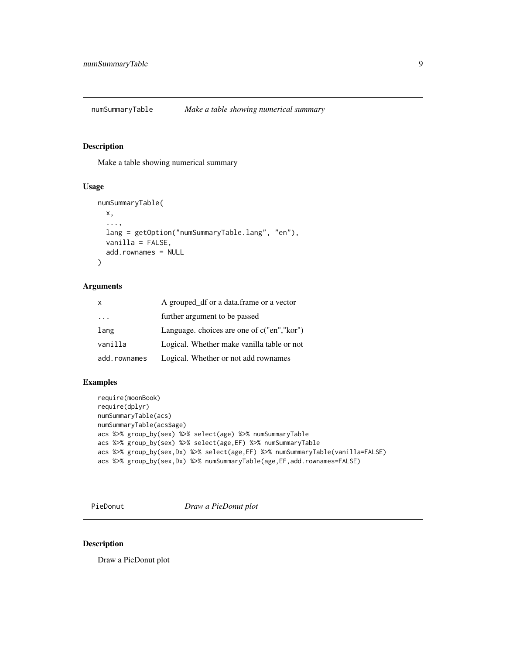<span id="page-8-0"></span>numSummaryTable *Make a table showing numerical summary*

#### Description

Make a table showing numerical summary

#### Usage

```
numSummaryTable(
  x,
  ...,
 lang = getOption("numSummaryTable.lang", "en"),
 vanilla = FALSE,
 add.rownames = NULL
)
```
#### Arguments

| X            | A grouped_df or a data.frame or a vector    |
|--------------|---------------------------------------------|
| .            | further argument to be passed               |
| lang         | Language, choices are one of c("en", "kor") |
| vanilla      | Logical. Whether make vanilla table or not  |
| add.rownames | Logical. Whether or not add rownames        |

#### Examples

```
require(moonBook)
require(dplyr)
numSummaryTable(acs)
numSummaryTable(acs$age)
acs %>% group_by(sex) %>% select(age) %>% numSummaryTable
acs %>% group_by(sex) %>% select(age,EF) %>% numSummaryTable
acs %>% group_by(sex,Dx) %>% select(age,EF) %>% numSummaryTable(vanilla=FALSE)
acs %>% group_by(sex,Dx) %>% numSummaryTable(age,EF,add.rownames=FALSE)
```
PieDonut *Draw a PieDonut plot*

#### Description

Draw a PieDonut plot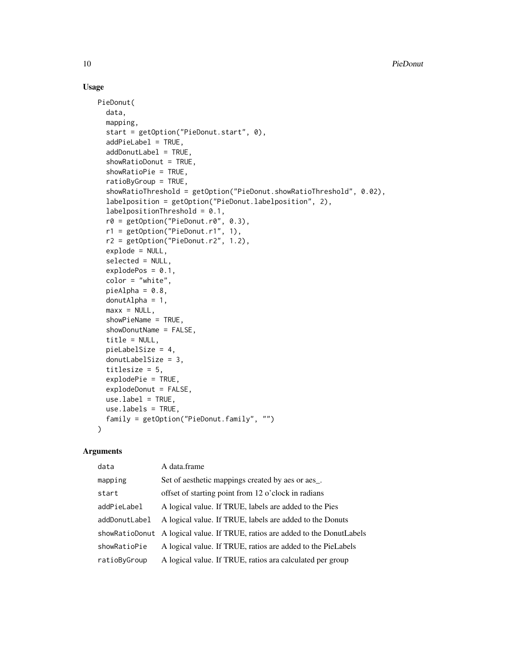#### Usage

```
PieDonut(
  data,
  mapping,
  start = getOption("PieDonut.start", 0),
  addPieLabel = TRUE,
  addDonutLabel = TRUE,
  showRatioDonut = TRUE,
  showRatioPie = TRUE,
  ratioByGroup = TRUE,
  showRatioThreshold = getOption("PieDonut.showRatioThreshold", 0.02),
  labelposition = getOption("PieDonut.labelposition", 2),
  labelpositionThe method = 0.1,r0 = getOption("PieDonut.r0", 0.3),
  r1 = getOption("PieDonut.r1", 1),
  r2 = getOption("PieDonut.r2", 1.2),
  explode = NULL,
  selected = NULL,
  explodePos = 0.1,
  color = "white",
  pieAlpha = 0.8,
  donutAlpha = 1,
  max x = NULL,showPieName = TRUE,
  showDonutName = FALSE,
  title = NULL,
  pieLabelSize = 4,
  donutLabelSize = 3,
  titlesize = 5,
  explodePie = TRUE,
  explodeDonut = FALSE,
  use.label = TRUE,use.labels = TRUE,
  family = getOption("PieDonut.family", "")
\mathcal{L}
```
#### Arguments

| data          | A data.frame                                                                 |
|---------------|------------------------------------------------------------------------------|
| mapping       | Set of aesthetic mappings created by aes or aes_.                            |
| start         | offset of starting point from 12 o'clock in radians                          |
| addPieLabel   | A logical value. If TRUE, labels are added to the Pies                       |
| addDonutLabel | A logical value. If TRUE, labels are added to the Donuts                     |
|               | showRatioDonut A logical value. If TRUE, ratios are added to the DonutLabels |
| showRatioPie  | A logical value. If TRUE, ratios are added to the PieLabels                  |
| ratioByGroup  | A logical value. If TRUE, ratios ara calculated per group                    |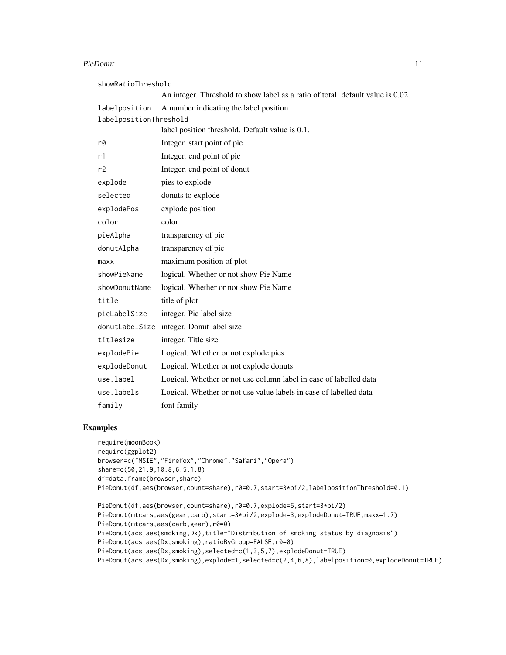#### PieDonut 11

| showRatioThreshold     |                                                                                 |  |  |  |
|------------------------|---------------------------------------------------------------------------------|--|--|--|
|                        | An integer. Threshold to show label as a ratio of total. default value is 0.02. |  |  |  |
| labelposition          | A number indicating the label position                                          |  |  |  |
| labelpositionThreshold |                                                                                 |  |  |  |
|                        | label position threshold. Default value is 0.1.                                 |  |  |  |
| r0                     | Integer. start point of pie                                                     |  |  |  |
| r1                     | Integer. end point of pie                                                       |  |  |  |
| r <sub>2</sub>         | Integer. end point of donut                                                     |  |  |  |
| explode                | pies to explode                                                                 |  |  |  |
| selected               | donuts to explode                                                               |  |  |  |
| explodePos             | explode position                                                                |  |  |  |
| color                  | color                                                                           |  |  |  |
| pieAlpha               | transparency of pie                                                             |  |  |  |
| donutAlpha             | transparency of pie                                                             |  |  |  |
| maxx                   | maximum position of plot                                                        |  |  |  |
| showPieName            | logical. Whether or not show Pie Name                                           |  |  |  |
| showDonutName          | logical. Whether or not show Pie Name                                           |  |  |  |
| title                  | title of plot                                                                   |  |  |  |
| pieLabelSize           | integer. Pie label size                                                         |  |  |  |
|                        | donutLabelSize integer. Donut label size                                        |  |  |  |
| titlesize              | integer. Title size                                                             |  |  |  |
| explodePie             | Logical. Whether or not explode pies                                            |  |  |  |
| explodeDonut           | Logical. Whether or not explode donuts                                          |  |  |  |
| use.label              | Logical. Whether or not use column label in case of labelled data               |  |  |  |
| use.labels             | Logical. Whether or not use value labels in case of labelled data               |  |  |  |
| family                 | font family                                                                     |  |  |  |

```
require(moonBook)
require(ggplot2)
browser=c("MSIE","Firefox","Chrome","Safari","Opera")
share=c(50,21.9,10.8,6.5,1.8)
df=data.frame(browser,share)
PieDonut(df,aes(browser,count=share),r0=0.7,start=3*pi/2,labelpositionThreshold=0.1)
PieDonut(df,aes(browser,count=share),r0=0.7,explode=5,start=3*pi/2)
PieDonut(mtcars,aes(gear,carb),start=3*pi/2,explode=3,explodeDonut=TRUE,maxx=1.7)
PieDonut(mtcars,aes(carb,gear),r0=0)
PieDonut(acs,aes(smoking,Dx),title="Distribution of smoking status by diagnosis")
PieDonut(acs,aes(Dx,smoking),ratioByGroup=FALSE,r0=0)
PieDonut(acs,aes(Dx,smoking),selected=c(1,3,5,7),explodeDonut=TRUE)
```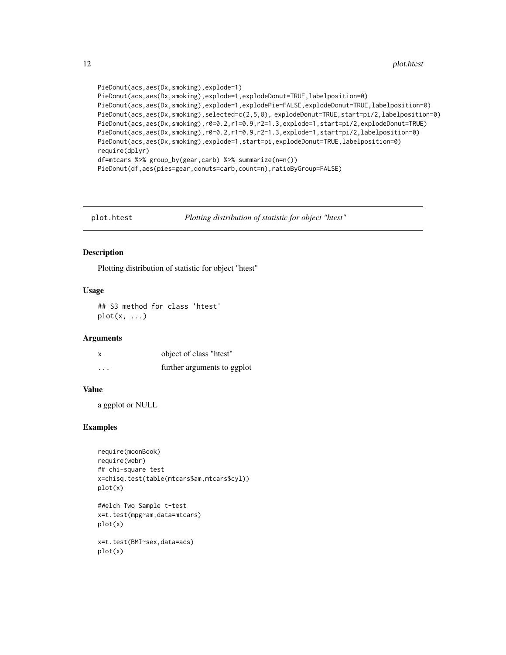```
PieDonut(acs,aes(Dx,smoking),explode=1)
PieDonut(acs,aes(Dx,smoking),explode=1,explodeDonut=TRUE,labelposition=0)
PieDonut(acs,aes(Dx,smoking),explode=1,explodePie=FALSE,explodeDonut=TRUE,labelposition=0)
PieDonut(acs,aes(Dx,smoking),selected=c(2,5,8), explodeDonut=TRUE,start=pi/2,labelposition=0)
PieDonut(acs,aes(Dx,smoking),r0=0.2,r1=0.9,r2=1.3,explode=1,start=pi/2,explodeDonut=TRUE)
PieDonut(acs,aes(Dx,smoking),r0=0.2,r1=0.9,r2=1.3,explode=1,start=pi/2,labelposition=0)
PieDonut(acs,aes(Dx,smoking),explode=1,start=pi,explodeDonut=TRUE,labelposition=0)
require(dplyr)
df=mtcars %>% group_by(gear,carb) %>% summarize(n=n())
PieDonut(df,aes(pies=gear,donuts=carb,count=n),ratioByGroup=FALSE)
```
plot.htest *Plotting distribution of statistic for object "htest"*

#### Description

Plotting distribution of statistic for object "htest"

#### Usage

## S3 method for class 'htest'  $plot(x, \ldots)$ 

#### Arguments

| X        | object of class "htest"     |
|----------|-----------------------------|
| $\cdots$ | further arguments to ggplot |

#### Value

a ggplot or NULL

```
require(moonBook)
require(webr)
## chi-square test
x=chisq.test(table(mtcars$am,mtcars$cyl))
plot(x)
#Welch Two Sample t-test
x=t.test(mpg~am,data=mtcars)
plot(x)
x=t.test(BMI~sex,data=acs)
```

```
plot(x)
```
<span id="page-11-0"></span>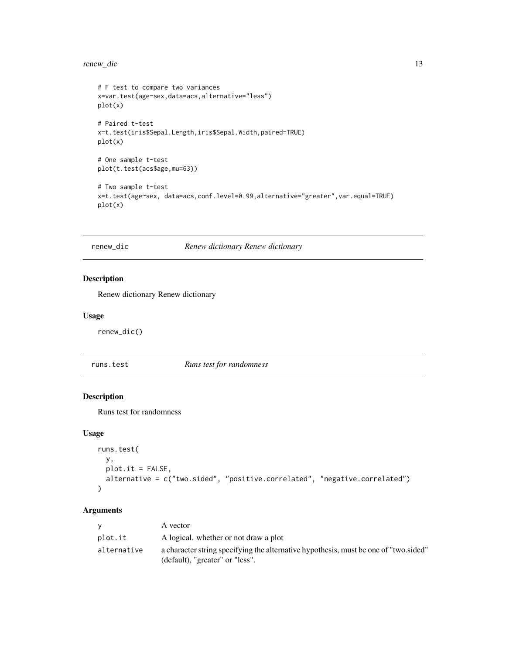#### <span id="page-12-0"></span>renew\_dic 13

```
# F test to compare two variances
x=var.test(age~sex,data=acs,alternative="less")
plot(x)
# Paired t-test
x=t.test(iris$Sepal.Length,iris$Sepal.Width,paired=TRUE)
plot(x)
# One sample t-test
plot(t.test(acs$age,mu=63))
# Two sample t-test
x=t.test(age~sex, data=acs,conf.level=0.99,alternative="greater",var.equal=TRUE)
plot(x)
```
# renew\_dic *Renew dictionary Renew dictionary*

#### Description

Renew dictionary Renew dictionary

#### Usage

renew\_dic()

| runs.test | Runs test for randomness |
|-----------|--------------------------|
|-----------|--------------------------|

#### Description

Runs test for randomness

#### Usage

```
runs.test(
 y,
 plot.it = FALSE,alternative = c("two.sided", "positive.correlated", "negative.correlated")
\lambda
```
#### Arguments

| v           | A vector                                                                                                                |
|-------------|-------------------------------------------------------------------------------------------------------------------------|
| plot.it     | A logical, whether or not draw a plot                                                                                   |
| alternative | a character string specifying the alternative hypothesis, must be one of "two sided"<br>(default), "greater" or "less". |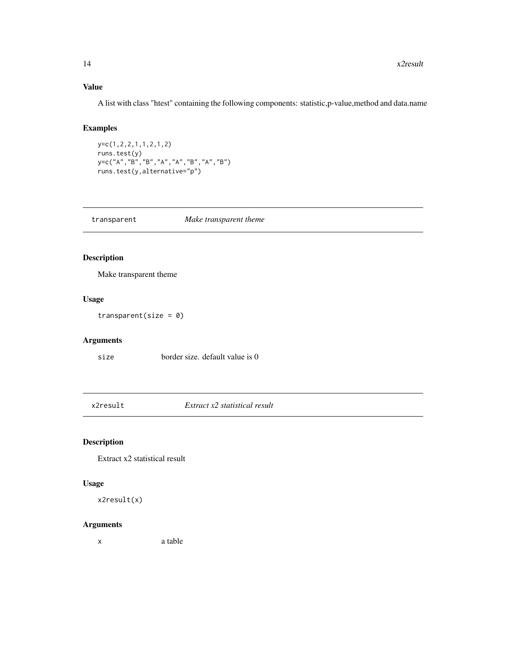#### Value

A list with class "htest" containing the following components: statistic,p-value,method and data.name

#### Examples

```
y=c(1,2,2,1,1,2,1,2)
runs.test(y)
y=c("A","B","B","A","A","B","A","B")
runs.test(y,alternative="p")
```

| transparent | Make transparent theme |
|-------------|------------------------|
|-------------|------------------------|

#### Description

Make transparent theme

#### Usage

transparent(size =  $0$ )

#### Arguments

size border size. default value is 0

x2result *Extract x2 statistical result*

## Description

Extract x2 statistical result

#### Usage

x2result(x)

#### Arguments

x a table

<span id="page-13-0"></span>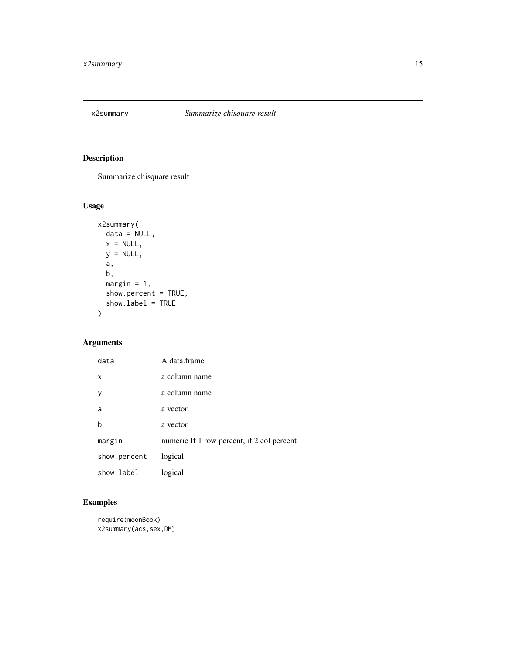<span id="page-14-0"></span>

Summarize chisquare result

# Usage

```
x2summary(
 data = NULL,
 x = NULL,y = NULL,a,
 b,
 margin = 1,
 show.percent = TRUE,
 show.label = TRUE
)
```
#### Arguments

| data         | A data frame                               |
|--------------|--------------------------------------------|
| x            | a column name                              |
| y            | a column name                              |
| a            | a vector                                   |
| h            | a vector                                   |
| margin       | numeric If 1 row percent, if 2 col percent |
| show.percent | logical                                    |
| show.label   | logical                                    |

```
require(moonBook)
x2summary(acs,sex,DM)
```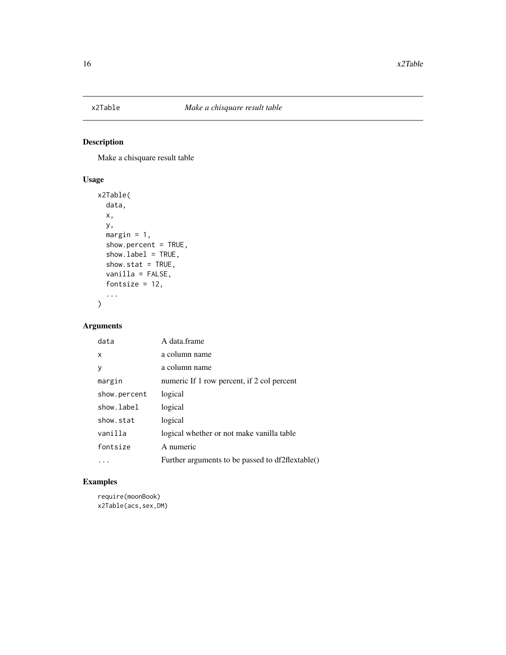<span id="page-15-0"></span>

Make a chisquare result table

#### Usage

```
x2Table(
  data,
  x,
 y,
 margin = 1,
  show.percent = TRUE,
  show.label = TRUE,
  show.stat = TRUE,
  vanilla = FALSE,
  fontsize = 12,
  ...
)
```
#### Arguments

| A data frame<br>data                                 |  |
|------------------------------------------------------|--|
| a column name<br>X                                   |  |
| a column name<br>y                                   |  |
| numeric If 1 row percent, if 2 col percent<br>margin |  |
| logical<br>show.percent                              |  |
| show.label<br>logical                                |  |
| show.stat<br>logical                                 |  |
| vanilla<br>logical whether or not make vanilla table |  |
| A numeric<br>fontsize                                |  |
| Further arguments to be passed to df2flextable()     |  |

## Examples

require(moonBook) x2Table(acs,sex,DM)